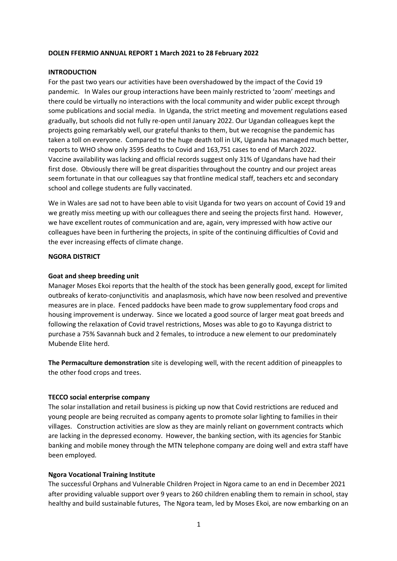## **DOLEN FFERMIO ANNUAL REPORT 1 March 2021 to 28 February 2022**

## **INTRODUCTION**

For the past two years our activities have been overshadowed by the impact of the Covid 19 pandemic. In Wales our group interactions have been mainly restricted to 'zoom' meetings and there could be virtually no interactions with the local community and wider public except through some publications and social media. In Uganda, the strict meeting and movement regulations eased gradually, but schools did not fully re-open until January 2022. Our Ugandan colleagues kept the projects going remarkably well, our grateful thanks to them, but we recognise the pandemic has taken a toll on everyone. Compared to the huge death toll in UK, Uganda has managed much better, reports to WHO show only 3595 deaths to Covid and 163,751 cases to end of March 2022. Vaccine availability was lacking and official records suggest only 31% of Ugandans have had their first dose. Obviously there will be great disparities throughout the country and our project areas seem fortunate in that our colleagues say that frontline medical staff, teachers etc and secondary school and college students are fully vaccinated.

We in Wales are sad not to have been able to visit Uganda for two years on account of Covid 19 and we greatly miss meeting up with our colleagues there and seeing the projects first hand. However, we have excellent routes of communication and are, again, very impressed with how active our colleagues have been in furthering the projects, in spite of the continuing difficulties of Covid and the ever increasing effects of climate change.

#### **NGORA DISTRICT**

## **Goat and sheep breeding unit**

Manager Moses Ekoi reports that the health of the stock has been generally good, except for limited outbreaks of kerato-conjunctivitis and anaplasmosis, which have now been resolved and preventive measures are in place. Fenced paddocks have been made to grow supplementary food crops and housing improvement is underway. Since we located a good source of larger meat goat breeds and following the relaxation of Covid travel restrictions, Moses was able to go to Kayunga district to purchase a 75% Savannah buck and 2 females, to introduce a new element to our predominately Mubende Elite herd.

**The Permaculture demonstration** site is developing well, with the recent addition of pineapples to the other food crops and trees.

#### **TECCO social enterprise company**

The solar installation and retail business is picking up now that Covid restrictions are reduced and young people are being recruited as company agents to promote solar lighting to families in their villages. Construction activities are slow as they are mainly reliant on government contracts which are lacking in the depressed economy. However, the banking section, with its agencies for Stanbic banking and mobile money through the MTN telephone company are doing well and extra staff have been employed.

#### **Ngora Vocational Training Institute**

The successful Orphans and Vulnerable Children Project in Ngora came to an end in December 2021 after providing valuable support over 9 years to 260 children enabling them to remain in school, stay healthy and build sustainable futures, The Ngora team, led by Moses Ekoi, are now embarking on an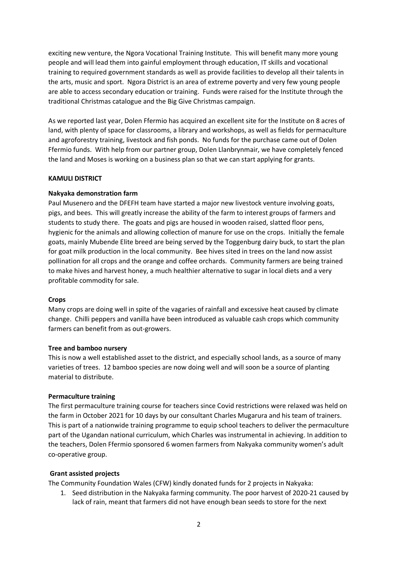exciting new venture, the Ngora Vocational Training Institute. This will benefit many more young people and will lead them into gainful employment through education, IT skills and vocational training to required government standards as well as provide facilities to develop all their talents in the arts, music and sport. Ngora District is an area of extreme poverty and very few young people are able to access secondary education or training. Funds were raised for the Institute through the traditional Christmas catalogue and the Big Give Christmas campaign.

As we reported last year, Dolen Ffermio has acquired an excellent site for the Institute on 8 acres of land, with plenty of space for classrooms, a library and workshops, as well as fields for permaculture and agroforestry training, livestock and fish ponds. No funds for the purchase came out of Dolen Ffermio funds. With help from our partner group, Dolen Llanbrynmair, we have completely fenced the land and Moses is working on a business plan so that we can start applying for grants.

# **KAMULI DISTRICT**

## **Nakyaka demonstration farm**

Paul Musenero and the DFEFH team have started a major new livestock venture involving goats, pigs, and bees. This will greatly increase the ability of the farm to interest groups of farmers and students to study there. The goats and pigs are housed in wooden raised, slatted floor pens, hygienic for the animals and allowing collection of manure for use on the crops. Initially the female goats, mainly Mubende Elite breed are being served by the Toggenburg dairy buck, to start the plan for goat milk production in the local community.Bee hives sited in trees on the land now assist pollination for all crops and the orange and coffee orchards. Community farmers are being trained to make hives and harvest honey, a much healthier alternative to sugar in local diets and a very profitable commodity for sale.

#### **Crops**

Many crops are doing well in spite of the vagaries of rainfall and excessive heat caused by climate change. Chilli peppers and vanilla have been introduced as valuable cash crops which community farmers can benefit from as out-growers.

#### **Tree and bamboo nursery**

This is now a well established asset to the district, and especially school lands, as a source of many varieties of trees. 12 bamboo species are now doing well and will soon be a source of planting material to distribute.

### **Permaculture training**

The first permaculture training course for teachers since Covid restrictions were relaxed was held on the farm in October 2021 for 10 days by our consultant Charles Mugarura and his team of trainers. This is part of a nationwide training programme to equip school teachers to deliver the permaculture part of the Ugandan national curriculum, which Charles was instrumental in achieving. In addition to the teachers, Dolen Ffermio sponsored 6 women farmers from Nakyaka community women's adult co-operative group.

# **Grant assisted projects**

The Community Foundation Wales (CFW) kindly donated funds for 2 projects in Nakyaka:

1. Seed distribution in the Nakyaka farming community. The poor harvest of 2020-21 caused by lack of rain, meant that farmers did not have enough bean seeds to store for the next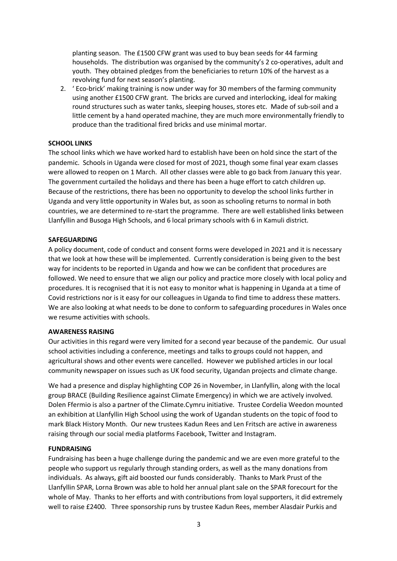planting season. The £1500 CFW grant was used to buy bean seeds for 44 farming households. The distribution was organised by the community's 2 co-operatives, adult and youth. They obtained pledges from the beneficiaries to return 10% of the harvest as a revolving fund for next season's planting.

2. ' Eco-brick' making training is now under way for 30 members of the farming community using another £1500 CFW grant. The bricks are curved and interlocking, ideal for making round structures such as water tanks, sleeping houses, stores etc. Made of sub-soil and a little cement by a hand operated machine, they are much more environmentally friendly to produce than the traditional fired bricks and use minimal mortar.

# **SCHOOL LINKS**

The school links which we have worked hard to establish have been on hold since the start of the pandemic. Schools in Uganda were closed for most of 2021, though some final year exam classes were allowed to reopen on 1 March. All other classes were able to go back from January this year. The government curtailed the holidays and there has been a huge effort to catch children up. Because of the restrictions, there has been no opportunity to develop the school links further in Uganda and very little opportunity in Wales but, as soon as schooling returns to normal in both countries, we are determined to re-start the programme. There are well established links between Llanfyllin and Busoga High Schools, and 6 local primary schools with 6 in Kamuli district.

## **SAFEGUARDING**

A policy document, code of conduct and consent forms were developed in 2021 and it is necessary that we look at how these will be implemented. Currently consideration is being given to the best way for incidents to be reported in Uganda and how we can be confident that procedures are followed. We need to ensure that we align our policy and practice more closely with local policy and procedures. It is recognised that it is not easy to monitor what is happening in Uganda at a time of Covid restrictions nor is it easy for our colleagues in Uganda to find time to address these matters. We are also looking at what needs to be done to conform to safeguarding procedures in Wales once we resume activities with schools.

### **AWARENESS RAISING**

Our activities in this regard were very limited for a second year because of the pandemic. Our usual school activities including a conference, meetings and talks to groups could not happen, and agricultural shows and other events were cancelled. However we published articles in our local community newspaper on issues such as UK food security, Ugandan projects and climate change.

We had a presence and display highlighting COP 26 in November, in Llanfyllin, along with the local group BRACE (Building Resilience against Climate Emergency) in which we are actively involved. Dolen Ffermio is also a partner of the Climate.Cymru initiative. Trustee Cordelia Weedon mounted an exhibition at Llanfyllin High School using the work of Ugandan students on the topic of food to mark Black History Month. Our new trustees Kadun Rees and Len Fritsch are active in awareness raising through our social media platforms Facebook, Twitter and Instagram.

#### **FUNDRAISING**

Fundraising has been a huge challenge during the pandemic and we are even more grateful to the people who support us regularly through standing orders, as well as the many donations from individuals. As always, gift aid boosted our funds considerably. Thanks to Mark Prust of the Llanfyllin SPAR, Lorna Brown was able to hold her annual plant sale on the SPAR forecourt for the whole of May. Thanks to her efforts and with contributions from loyal supporters, it did extremely well to raise £2400. Three sponsorship runs by trustee Kadun Rees, member Alasdair Purkis and